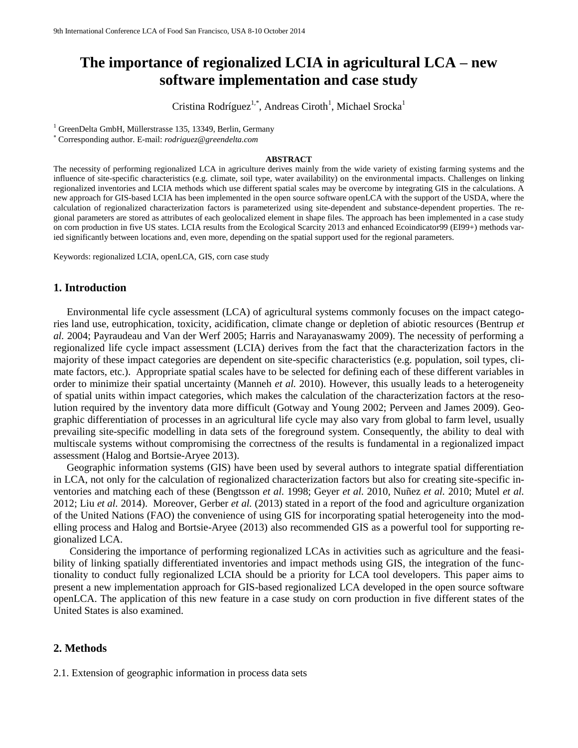# **The importance of regionalized LCIA in agricultural LCA – new software implementation and case study**

Cristina Rodríguez<sup>1,\*</sup>, Andreas Ciroth<sup>1</sup>, Michael Srocka<sup>1</sup>

<sup>1</sup> GreenDelta GmbH, Müllerstrasse 135, 13349, Berlin, Germany

Corresponding author. E-mail: *rodriguez@greendelta.com*

#### **ABSTRACT**

The necessity of performing regionalized LCA in agriculture derives mainly from the wide variety of existing farming systems and the influence of site-specific characteristics (e.g. climate, soil type, water availability) on the environmental impacts. Challenges on linking regionalized inventories and LCIA methods which use different spatial scales may be overcome by integrating GIS in the calculations. A new approach for GIS-based LCIA has been implemented in the open source software openLCA with the support of the USDA, where the calculation of regionalized characterization factors is parameterized using site-dependent and substance-dependent properties. The regional parameters are stored as attributes of each geolocalized element in shape files. The approach has been implemented in a case study on corn production in five US states. LCIA results from the Ecological Scarcity 2013 and enhanced Ecoindicator99 (EI99+) methods varied significantly between locations and, even more, depending on the spatial support used for the regional parameters.

Keywords: regionalized LCIA, openLCA, GIS, corn case study

# **1. Introduction**

Environmental life cycle assessment (LCA) of agricultural systems commonly focuses on the impact categories land use, eutrophication, toxicity, acidification, climate change or depletion of abiotic resources (Bentrup *et al.* 2004; Payraudeau and Van der Werf 2005; Harris and Narayanaswamy 2009). The necessity of performing a regionalized life cycle impact assessment (LCIA) derives from the fact that the characterization factors in the majority of these impact categories are dependent on site-specific characteristics (e.g. population, soil types, climate factors, etc.). Appropriate spatial scales have to be selected for defining each of these different variables in order to minimize their spatial uncertainty (Manneh *et al.* 2010). However, this usually leads to a heterogeneity of spatial units within impact categories, which makes the calculation of the characterization factors at the resolution required by the inventory data more difficult (Gotway and Young 2002; Perveen and James 2009). Geographic differentiation of processes in an agricultural life cycle may also vary from global to farm level, usually prevailing site-specific modelling in data sets of the foreground system. Consequently, the ability to deal with multiscale systems without compromising the correctness of the results is fundamental in a regionalized impact assessment (Halog and Bortsie-Aryee 2013).

Geographic information systems (GIS) have been used by several authors to integrate spatial differentiation in LCA, not only for the calculation of regionalized characterization factors but also for creating site-specific inventories and matching each of these (Bengtsson *et al.* 1998; Geyer *et al.* 2010, Nuñez *et al.* 2010; Mutel *et al.* 2012; Liu *et al.* 2014). Moreover, Gerber *et al.* (2013) stated in a report of the food and agriculture organization of the United Nations (FAO) the convenience of using GIS for incorporating spatial heterogeneity into the modelling process and Halog and Bortsie-Aryee (2013) also recommended GIS as a powerful tool for supporting regionalized LCA.

Considering the importance of performing regionalized LCAs in activities such as agriculture and the feasibility of linking spatially differentiated inventories and impact methods using GIS, the integration of the functionality to conduct fully regionalized LCIA should be a priority for LCA tool developers. This paper aims to present a new implementation approach for GIS-based regionalized LCA developed in the open source software openLCA. The application of this new feature in a case study on corn production in five different states of the United States is also examined.

# **2. Methods**

2.1. Extension of geographic information in process data sets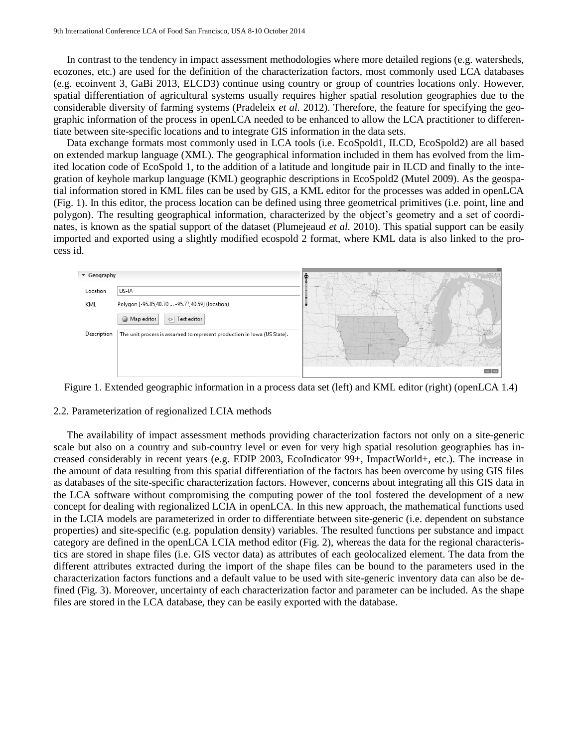In contrast to the tendency in impact assessment methodologies where more detailed regions (e.g. watersheds, ecozones, etc.) are used for the definition of the characterization factors, most commonly used LCA databases (e.g. ecoinvent 3, GaBi 2013, ELCD3) continue using country or group of countries locations only. However, spatial differentiation of agricultural systems usually requires higher spatial resolution geographies due to the considerable diversity of farming systems (Pradeleix *et al.* 2012). Therefore, the feature for specifying the geographic information of the process in openLCA needed to be enhanced to allow the LCA practitioner to differentiate between site-specific locations and to integrate GIS information in the data sets.

Data exchange formats most commonly used in LCA tools (i.e. EcoSpold1, ILCD, EcoSpold2) are all based on extended markup language (XML). The geographical information included in them has evolved from the limited location code of EcoSpold 1, to the addition of a latitude and longitude pair in ILCD and finally to the integration of keyhole markup language (KML) geographic descriptions in EcoSpold2 (Mutel 2009). As the geospatial information stored in KML files can be used by GIS, a KML editor for the processes was added in openLCA (Fig. 1). In this editor, the process location can be defined using three geometrical primitives (i.e. point, line and polygon). The resulting geographical information, characterized by the object's geometry and a set of coordinates, is known as the spatial support of the dataset (Plumejeaud *et al.* 2010). This spatial support can be easily imported and exported using a slightly modified ecospold 2 format, where KML data is also linked to the process id.



Figure 1. Extended geographic information in a process data set (left) and KML editor (right) (openLCA 1.4)

#### 2.2. Parameterization of regionalized LCIA methods

The availability of impact assessment methods providing characterization factors not only on a site-generic scale but also on a country and sub-country level or even for very high spatial resolution geographies has increased considerably in recent years (e.g. EDIP 2003, EcoIndicator 99+, ImpactWorld+, etc.). The increase in the amount of data resulting from this spatial differentiation of the factors has been overcome by using GIS files as databases of the site-specific characterization factors. However, concerns about integrating all this GIS data in the LCA software without compromising the computing power of the tool fostered the development of a new concept for dealing with regionalized LCIA in openLCA. In this new approach, the mathematical functions used in the LCIA models are parameterized in order to differentiate between site-generic (i.e. dependent on substance properties) and site-specific (e.g. population density) variables. The resulted functions per substance and impact category are defined in the openLCA LCIA method editor (Fig. 2), whereas the data for the regional characteristics are stored in shape files (i.e. GIS vector data) as attributes of each geolocalized element. The data from the different attributes extracted during the import of the shape files can be bound to the parameters used in the characterization factors functions and a default value to be used with site-generic inventory data can also be defined (Fig. 3). Moreover, uncertainty of each characterization factor and parameter can be included. As the shape files are stored in the LCA database, they can be easily exported with the database.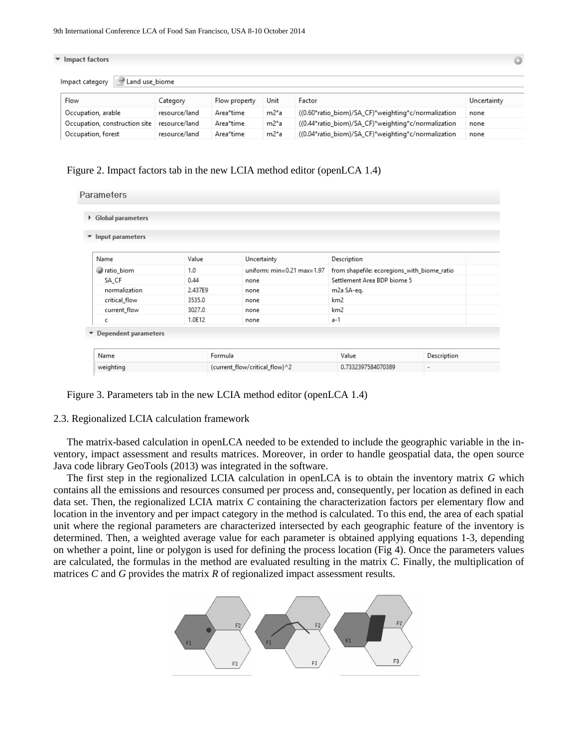| Impact factors<br>$\circledcirc$  |               |               |         |                                                     |             |  |  |
|-----------------------------------|---------------|---------------|---------|-----------------------------------------------------|-------------|--|--|
| Land use biome<br>Impact category |               |               |         |                                                     |             |  |  |
| Flow                              | Category      | Flow property | Unit    | Factor                                              | Uncertainty |  |  |
| Occupation, arable                | resource/land | Area*time     | m2*a    | ((0.60*ratio_biom)/SA_CF)*weighting*c/normalization | none        |  |  |
| Occupation, construction site     | resource/land | Area*time     | $m2^*a$ | ((0.44*ratio biom)/SA CF)*weighting*c/normalization | none        |  |  |
| Occupation, forest                | resource/land | Area*time     | $m2^*a$ | ((0.04*ratio_biom)/SA_CF)*weighting*c/normalization | none        |  |  |

Figure 2. Impact factors tab in the new LCIA method editor (openLCA 1.4)

| ▶ Global parameters                        |         |              |                                 |                                                  |                          |  |
|--------------------------------------------|---------|--------------|---------------------------------|--------------------------------------------------|--------------------------|--|
| Input parameters                           |         |              |                                 |                                                  |                          |  |
| Name                                       | Value   |              | Uncertainty                     | Description                                      |                          |  |
| atio_biom                                  | 1.0     |              | uniform: $min=0.21$ max $=1.97$ | from shapefile: ecoregions_with_biome_ratio      |                          |  |
| SA_CF                                      | 0.44    |              | none                            | Settlement Area BDP biome 5                      |                          |  |
| normalization                              | 2.437E9 | none         |                                 | m2a SA-eq.<br>km <sub>2</sub><br>km <sub>2</sub> |                          |  |
| critical_flow                              | 3535.0  | none<br>none |                                 |                                                  |                          |  |
| current flow                               | 3027.0  |              |                                 |                                                  |                          |  |
| c                                          | 1.0E12  |              | none                            | $a-1$                                            |                          |  |
| $\blacktriangleright$ Dependent parameters |         |              |                                 |                                                  |                          |  |
|                                            |         |              |                                 |                                                  |                          |  |
| Name                                       |         | Formula      |                                 | Value                                            | Description              |  |
| weighting                                  |         |              | (current_flow/critical_flow)^2  | 0.7332397584070389                               | $\overline{\phantom{a}}$ |  |

Figure 3. Parameters tab in the new LCIA method editor (openLCA 1.4)

#### 2.3. Regionalized LCIA calculation framework

The matrix-based calculation in openLCA needed to be extended to include the geographic variable in the inventory, impact assessment and results matrices. Moreover, in order to handle geospatial data, the open source Java code library GeoTools (2013) was integrated in the software.

The first step in the regionalized LCIA calculation in openLCA is to obtain the inventory matrix *G* which contains all the emissions and resources consumed per process and, consequently, per location as defined in each data set. Then, the regionalized LCIA matrix *C* containing the characterization factors per elementary flow and location in the inventory and per impact category in the method is calculated. To this end, the area of each spatial unit where the regional parameters are characterized intersected by each geographic feature of the inventory is determined. Then, a weighted average value for each parameter is obtained applying equations 1-3, depending on whether a point, line or polygon is used for defining the process location (Fig 4). Once the parameters values are calculated, the formulas in the method are evaluated resulting in the matrix *C*. Finally, the multiplication of matrices *C* and *G* provides the matrix *R* of regionalized impact assessment results.

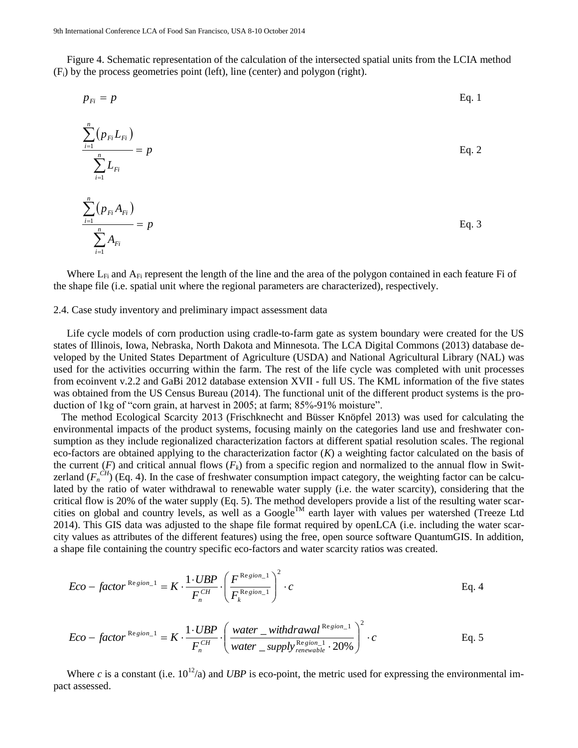Figure 4. Schematic representation of the calculation of the intersected spatial units from the LCIA method (Fi) by the process geometries point (left), line (center) and polygon (right).

$$
p_{Fi} = p \tag{Eq. 1}
$$

$$
\frac{\sum_{i=1}^{n} (p_{Fi} L_{Fi})}{\sum_{i=1}^{n} L_{Fi}} = p
$$
\nEq. 2\n
$$
\frac{\sum_{i=1}^{n} (p_{Fi} A_{Fi})}{\sum_{i=1}^{n} A_{Fi}} = p
$$
\nEq. 3

Where  $L_{Fi}$  and  $A_{Fi}$  represent the length of the line and the area of the polygon contained in each feature Fi of the shape file (i.e. spatial unit where the regional parameters are characterized), respectively.

#### 2.4. Case study inventory and preliminary impact assessment data

Life cycle models of corn production using cradle-to-farm gate as system boundary were created for the US states of Illinois, Iowa, Nebraska, North Dakota and Minnesota. The LCA Digital Commons (2013) database developed by the United States Department of Agriculture (USDA) and National Agricultural Library (NAL) was used for the activities occurring within the farm. The rest of the life cycle was completed with unit processes from ecoinvent v.2.2 and GaBi 2012 database extension XVII - full US. The KML information of the five states was obtained from the US Census Bureau (2014). The functional unit of the different product systems is the production of 1kg of "corn grain, at harvest in 2005; at farm; 85%-91% moisture".

 The method Ecological Scarcity 2013 (Frischknecht and Büsser Knöpfel 2013) was used for calculating the environmental impacts of the product systems, focusing mainly on the categories land use and freshwater consumption as they include regionalized characterization factors at different spatial resolution scales. The regional eco-factors are obtained applying to the characterization factor (*K*) a weighting factor calculated on the basis of the current  $(F)$  and critical annual flows  $(F_k)$  from a specific region and normalized to the annual flow in Switzerland  $(F_n^{CH})$  (Eq. 4). In the case of freshwater consumption impact category, the weighting factor can be calculated by the ratio of water withdrawal to renewable water supply (i.e. the water scarcity), considering that the critical flow is 20% of the water supply (Eq. 5). The method developers provide a list of the resulting water scarcities on global and country levels, as well as a Google<sup>TM</sup> earth layer with values per watershed (Treeze Ltd 2014). This GIS data was adjusted to the shape file format required by openLCA (i.e. including the water scarcity values as attributes of the different features) using the free, open source software QuantumGIS. In addition, a shape file containing the country specific eco-factors and water scarcity ratios was created.

$$
Eco - factor^{Resion-1} = K \cdot \frac{1 \cdot UBP}{F_n^{CH}} \cdot \left(\frac{F^{Resion-1}}{F_k^{Resion-1}}\right)^2 \cdot c
$$
 Eq. 4

$$
Eco - factor^{Resion-1} = K \cdot \frac{1 \cdot UBP}{F_n^{CH}} \cdot \left( \frac{water - withdrawal^{Resion-1}}{water - supply^{Resion-1}_{renewable} \cdot 20\%} \right)^2 \cdot c
$$
 Eq. 5

Where *c* is a constant (i.e.  $10^{12}/a$ ) and *UBP* is eco-point, the metric used for expressing the environmental impact assessed.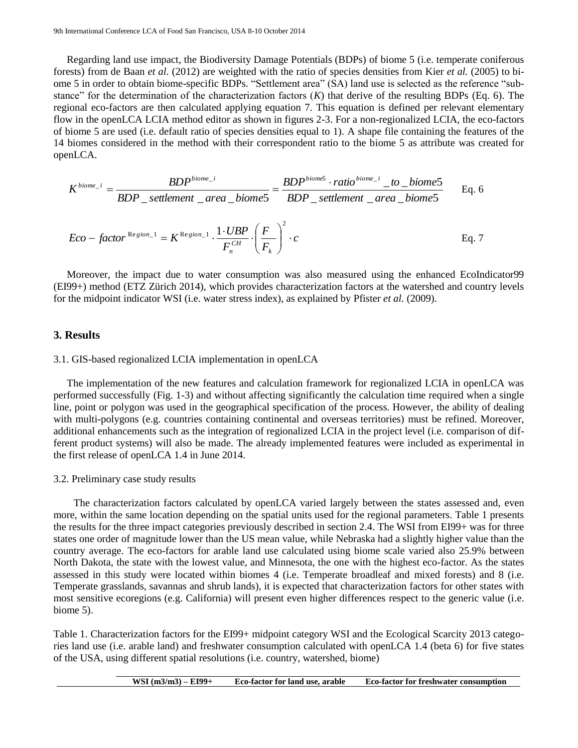Regarding land use impact, the Biodiversity Damage Potentials (BDPs) of biome 5 (i.e. temperate coniferous forests) from de Baan *et al.* (2012) are weighted with the ratio of species densities from Kier *et al.* (2005) to biome 5 in order to obtain biome-specific BDPs. "Settlement area" (SA) land use is selected as the reference "substance" for the determination of the characterization factors (*K*) that derive of the resulting BDPs (Eq. 6). The regional eco-factors are then calculated applying equation 7. This equation is defined per relevant elementary flow in the openLCA LCIA method editor as shown in figures 2-3. For a non-regionalized LCIA, the eco-factors of biome 5 are used (i.e. default ratio of species densities equal to 1). A shape file containing the features of the 14 biomes considered in the method with their correspondent ratio to the biome 5 as attribute was created for openLCA.

$$
K^{biome_{-}i} = \frac{BDP^{biome_{-}i}}{BDP\_settlement\_area\_biome5} = \frac{BDP^{biome5} \cdot ratio^{biome_{-}i} \_to\_biome5}{BDP\_settlement\_area\_biome5}
$$
 Eq. 6  
Eco – factor <sup>Resjion\_{-}1</sup> =  $K^{Resjion_{-}1} \cdot \frac{1 \cdot UBP}{F_n^{CH}} \cdot \left(\frac{F}{F_k}\right)^2 \cdot c$  Eq. 7

 $F_n^{CH}$   $\left(F_k\right)$ 

 $\setminus$ 

*CH n*

Moreover, the impact due to water consumption was also measured using the enhanced EcoIndicator99 (EI99+) method (ETZ Zürich 2014), which provides characterization factors at the watershed and country levels for the midpoint indicator WSI (i.e. water stress index), as explained by Pfister *et al.* (2009).

### **3. Results**

#### 3.1. GIS-based regionalized LCIA implementation in openLCA

The implementation of the new features and calculation framework for regionalized LCIA in openLCA was performed successfully (Fig. 1-3) and without affecting significantly the calculation time required when a single line, point or polygon was used in the geographical specification of the process. However, the ability of dealing with multi-polygons (e.g. countries containing continental and overseas territories) must be refined. Moreover, additional enhancements such as the integration of regionalized LCIA in the project level (i.e. comparison of different product systems) will also be made. The already implemented features were included as experimental in the first release of openLCA 1.4 in June 2014.

#### 3.2. Preliminary case study results

The characterization factors calculated by openLCA varied largely between the states assessed and, even more, within the same location depending on the spatial units used for the regional parameters. Table 1 presents the results for the three impact categories previously described in section 2.4. The WSI from EI99+ was for three states one order of magnitude lower than the US mean value, while Nebraska had a slightly higher value than the country average. The eco-factors for arable land use calculated using biome scale varied also 25.9% between North Dakota, the state with the lowest value, and Minnesota, the one with the highest eco-factor. As the states assessed in this study were located within biomes 4 (i.e. Temperate broadleaf and mixed forests) and 8 (i.e. Temperate grasslands, savannas and shrub lands), it is expected that characterization factors for other states with most sensitive ecoregions (e.g. California) will present even higher differences respect to the generic value (i.e. biome 5).

Table 1. Characterization factors for the EI99+ midpoint category WSI and the Ecological Scarcity 2013 categories land use (i.e. arable land) and freshwater consumption calculated with openLCA 1.4 (beta 6) for five states of the USA, using different spatial resolutions (i.e. country, watershed, biome)

| $WSI(m3/m3) - EI99+$ | Eco-factor for land use, arable | Eco-factor for freshwater consumption |
|----------------------|---------------------------------|---------------------------------------|
|----------------------|---------------------------------|---------------------------------------|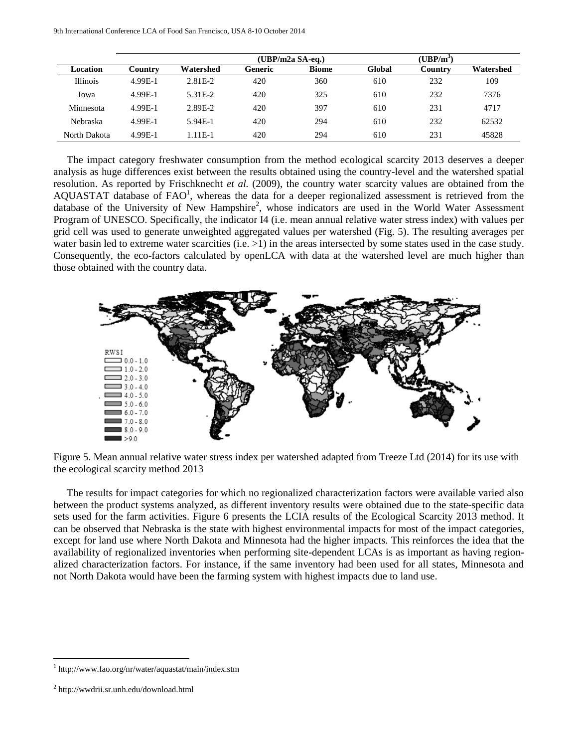|                 |         |           | $(UBP/m2a SA-eq.)$ |              |        | $(\mathbf{UBP}/\mathbf{m}^3)$ |           |  |  |
|-----------------|---------|-----------|--------------------|--------------|--------|-------------------------------|-----------|--|--|
| Location        | Country | Watershed | Generic            | <b>Biome</b> | Global | Country                       | Watershed |  |  |
| <b>Illinois</b> | 4.99E-1 | 2.81E-2   | 420                | 360          | 610    | 232                           | 109       |  |  |
| Iowa            | 4.99E-1 | 5.31E-2   | 420                | 325          | 610    | 232                           | 7376      |  |  |
| Minnesota       | 4.99E-1 | 2.89E-2   | 420                | 397          | 610    | 231                           | 4717      |  |  |
| Nebraska        | 4.99E-1 | $5.94E-1$ | 420                | 294          | 610    | 232                           | 62532     |  |  |
| North Dakota    | 4.99E-1 | $.11E-1$  | 420                | 294          | 610    | 231                           | 45828     |  |  |

The impact category freshwater consumption from the method ecological scarcity 2013 deserves a deeper analysis as huge differences exist between the results obtained using the country-level and the watershed spatial resolution. As reported by Frischknecht *et al.* (2009), the country water scarcity values are obtained from the AQUASTAT database of  $FAO<sup>1</sup>$ , whereas the data for a deeper regionalized assessment is retrieved from the database of the University of New Hampshire<sup>2</sup>, whose indicators are used in the World Water Assessment Program of UNESCO. Specifically, the indicator I4 (i.e. mean annual relative water stress index) with values per grid cell was used to generate unweighted aggregated values per watershed (Fig. 5). The resulting averages per water basin led to extreme water scarcities (i.e.  $>1$ ) in the areas intersected by some states used in the case study. Consequently, the eco-factors calculated by openLCA with data at the watershed level are much higher than those obtained with the country data.



Figure 5. Mean annual relative water stress index per watershed adapted from Treeze Ltd (2014) for its use with the ecological scarcity method 2013

The results for impact categories for which no regionalized characterization factors were available varied also between the product systems analyzed, as different inventory results were obtained due to the state-specific data sets used for the farm activities. Figure 6 presents the LCIA results of the Ecological Scarcity 2013 method. It can be observed that Nebraska is the state with highest environmental impacts for most of the impact categories, except for land use where North Dakota and Minnesota had the higher impacts. This reinforces the idea that the availability of regionalized inventories when performing site-dependent LCAs is as important as having regionalized characterization factors. For instance, if the same inventory had been used for all states, Minnesota and not North Dakota would have been the farming system with highest impacts due to land use.

 $\overline{a}$ 

<sup>1</sup> http://www.fao.org/nr/water/aquastat/main/index.stm

<sup>2</sup> <http://wwdrii.sr.unh.edu/download.html>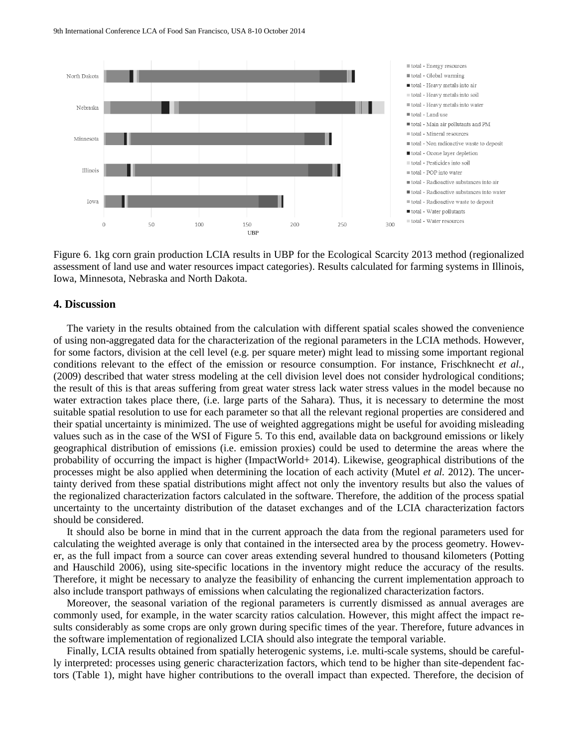9th International Conference LCA of Food San Francisco, USA 8-10 October 2014



Figure 6. 1kg corn grain production LCIA results in UBP for the Ecological Scarcity 2013 method (regionalized assessment of land use and water resources impact categories). Results calculated for farming systems in Illinois, Iowa, Minnesota, Nebraska and North Dakota.

#### **4. Discussion**

The variety in the results obtained from the calculation with different spatial scales showed the convenience of using non-aggregated data for the characterization of the regional parameters in the LCIA methods. However, for some factors, division at the cell level (e.g. per square meter) might lead to missing some important regional conditions relevant to the effect of the emission or resource consumption. For instance, Frischknecht *et al.,* (2009) described that water stress modeling at the cell division level does not consider hydrological conditions; the result of this is that areas suffering from great water stress lack water stress values in the model because no water extraction takes place there, (i.e. large parts of the Sahara). Thus, it is necessary to determine the most suitable spatial resolution to use for each parameter so that all the relevant regional properties are considered and their spatial uncertainty is minimized. The use of weighted aggregations might be useful for avoiding misleading values such as in the case of the WSI of Figure 5. To this end, available data on background emissions or likely geographical distribution of emissions (i.e. emission proxies) could be used to determine the areas where the probability of occurring the impact is higher (ImpactWorld+ 2014). Likewise, geographical distributions of the processes might be also applied when determining the location of each activity (Mutel *et al.* 2012). The uncertainty derived from these spatial distributions might affect not only the inventory results but also the values of the regionalized characterization factors calculated in the software. Therefore, the addition of the process spatial uncertainty to the uncertainty distribution of the dataset exchanges and of the LCIA characterization factors should be considered.

It should also be borne in mind that in the current approach the data from the regional parameters used for calculating the weighted average is only that contained in the intersected area by the process geometry. However, as the full impact from a source can cover areas extending several hundred to thousand kilometers (Potting and Hauschild 2006), using site-specific locations in the inventory might reduce the accuracy of the results. Therefore, it might be necessary to analyze the feasibility of enhancing the current implementation approach to also include transport pathways of emissions when calculating the regionalized characterization factors.

Moreover, the seasonal variation of the regional parameters is currently dismissed as annual averages are commonly used, for example, in the water scarcity ratios calculation. However, this might affect the impact results considerably as some crops are only grown during specific times of the year. Therefore, future advances in the software implementation of regionalized LCIA should also integrate the temporal variable.

Finally, LCIA results obtained from spatially heterogenic systems, i.e. multi-scale systems, should be carefully interpreted: processes using generic characterization factors, which tend to be higher than site-dependent factors (Table 1), might have higher contributions to the overall impact than expected. Therefore, the decision of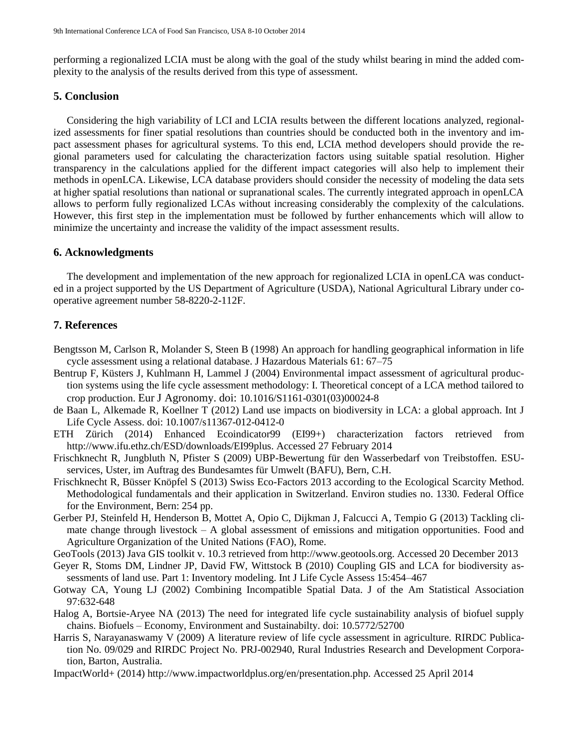performing a regionalized LCIA must be along with the goal of the study whilst bearing in mind the added complexity to the analysis of the results derived from this type of assessment.

# **5. Conclusion**

Considering the high variability of LCI and LCIA results between the different locations analyzed, regionalized assessments for finer spatial resolutions than countries should be conducted both in the inventory and impact assessment phases for agricultural systems. To this end, LCIA method developers should provide the regional parameters used for calculating the characterization factors using suitable spatial resolution. Higher transparency in the calculations applied for the different impact categories will also help to implement their methods in openLCA. Likewise, LCA database providers should consider the necessity of modeling the data sets at higher spatial resolutions than national or supranational scales. The currently integrated approach in openLCA allows to perform fully regionalized LCAs without increasing considerably the complexity of the calculations. However, this first step in the implementation must be followed by further enhancements which will allow to minimize the uncertainty and increase the validity of the impact assessment results.

# **6. Acknowledgments**

The development and implementation of the new approach for regionalized LCIA in openLCA was conducted in a project supported by the US Department of Agriculture (USDA), National Agricultural Library under cooperative agreement number 58-8220-2-112F.

# **7. References**

- Bengtsson M, Carlson R, Molander S, Steen B (1998) An approach for handling geographical information in life cycle assessment using a relational database. J Hazardous Materials 61: 67–75
- Bentrup F, Küsters J, Kuhlmann H, Lammel J (2004) Environmental impact assessment of agricultural production systems using the life cycle assessment methodology: I. Theoretical concept of a LCA method tailored to crop production. Eur J Agronomy. doi: 10.1016/S1161-0301(03)00024-8
- de Baan L, Alkemade R, Koellner T (2012) Land use impacts on biodiversity in LCA: a global approach. Int J Life Cycle Assess. doi: 10.1007/s11367-012-0412-0
- ETH Zürich (2014) Enhanced Ecoindicator99 (EI99+) characterization factors retrieved from http://www.ifu.ethz.ch/ESD/downloads/EI99plus. Accessed 27 February 2014
- Frischknecht R, Jungbluth N, Pfister S (2009) UBP-Bewertung für den Wasserbedarf von Treibstoffen. ESUservices, Uster, im Auftrag des Bundesamtes für Umwelt (BAFU), Bern, C.H.
- Frischknecht R, Büsser Knöpfel S (2013) Swiss Eco-Factors 2013 according to the Ecological Scarcity Method. Methodological fundamentals and their application in Switzerland. Environ studies no. 1330. Federal Office for the Environment, Bern: 254 pp.
- Gerber PJ, Steinfeld H, Henderson B, Mottet A, Opio C, Dijkman J, Falcucci A, Tempio G (2013) Tackling climate change through livestock – A global assessment of emissions and mitigation opportunities. Food and Agriculture Organization of the United Nations (FAO), Rome.
- GeoTools (2013) Java GIS toolkit v. 10.3 retrieved from http://www.geotools.org. Accessed 20 December 2013
- Geyer R, Stoms DM, Lindner JP, David FW, Wittstock B (2010) Coupling GIS and LCA for biodiversity assessments of land use. Part 1: Inventory modeling. Int J Life Cycle Assess 15:454–467
- Gotway CA, Young LJ (2002) Combining Incompatible Spatial Data. J of the Am Statistical Association 97:632-648
- Halog A, Bortsie-Aryee NA (2013) The need for integrated life cycle sustainability analysis of biofuel supply chains. Biofuels – Economy, Environment and Sustainabilty. doi: 10.5772/52700
- Harris S, Narayanaswamy V (2009) A literature review of life cycle assessment in agriculture. RIRDC Publication No. 09/029 and RIRDC Project No. PRJ-002940, Rural Industries Research and Development Corporation, Barton, Australia.
- ImpactWorld+ (2014) http://www.impactworldplus.org/en/presentation.php. Accessed 25 April 2014